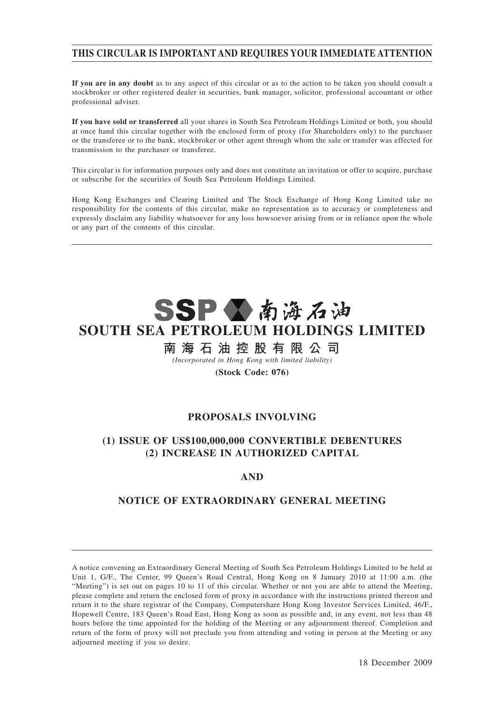# **THIS CIRCULAR IS IMPORTANT AND REQUIRES YOUR IMMEDIATE ATTENTION**

**If you are in any doubt** as to any aspect of this circular or as to the action to be taken you should consult a stockbroker or other registered dealer in securities, bank manager, solicitor, professional accountant or other professional adviser.

**If you have sold or transferred** all your shares in South Sea Petroleum Holdings Limited or both, you should at once hand this circular together with the enclosed form of proxy (for Shareholders only) to the purchaser or the transferee or to the bank, stockbroker or other agent through whom the sale or transfer was effected for transmission to the purchaser or transferee.

This circular is for information purposes only and does not constitute an invitation or offer to acquire, purchase or subscribe for the securities of South Sea Petroleum Holdings Limited.

Hong Kong Exchanges and Clearing Limited and The Stock Exchange of Hong Kong Limited take no responsibility for the contents of this circular, make no representation as to accuracy or completeness and expressly disclaim any liability whatsoever for any loss howsoever arising from or in reliance upon the whole or any part of the contents of this circular.



# 南 海 石 油 控 股 有 限 公 司

*(Incorporated in Hong Kong with limited liability)*

## **(Stock Code: 076)**

## **PROPOSALS INVOLVING**

# **(1) ISSUE OF US\$100,000,000 CONVERTIBLE DEBENTURES (2) INCREASE IN AUTHORIZED CAPITAL**

## **AND**

## **NOTICE OF EXTRAORDINARY GENERAL MEETING**

A notice convening an Extraordinary General Meeting of South Sea Petroleum Holdings Limited to be held at Unit 1, G/F., The Center, 99 Queen's Road Central, Hong Kong on 8 January 2010 at 11:00 a.m. (the "Meeting") is set out on pages 10 to 11 of this circular. Whether or not you are able to attend the Meeting, please complete and return the enclosed form of proxy in accordance with the instructions printed thereon and return it to the share registrar of the Company, Computershare Hong Kong Investor Services Limited, 46/F., Hopewell Centre, 183 Queen's Road East, Hong Kong as soon as possible and, in any event, not less than 48 hours before the time appointed for the holding of the Meeting or any adjournment thereof. Completion and return of the form of proxy will not preclude you from attending and voting in person at the Meeting or any adjourned meeting if you so desire.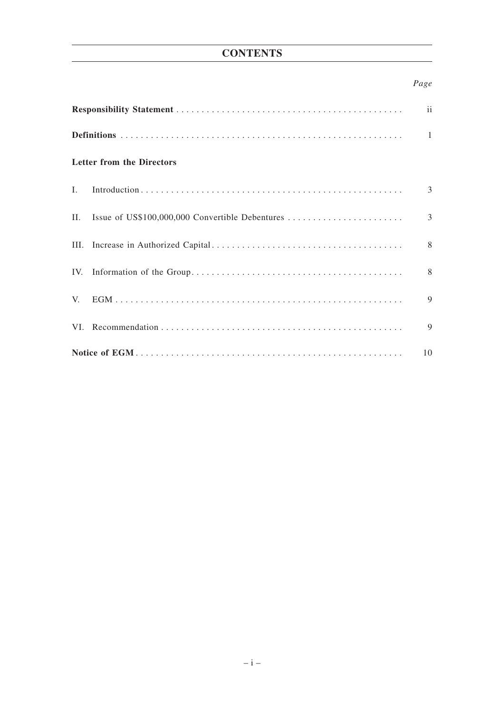# **CONTENTS**

# *Page*

| ii                               |                                                 |                |  |  |  |  |  |
|----------------------------------|-------------------------------------------------|----------------|--|--|--|--|--|
|                                  |                                                 |                |  |  |  |  |  |
| <b>Letter from the Directors</b> |                                                 |                |  |  |  |  |  |
| $\mathbf{L}$                     |                                                 | 3              |  |  |  |  |  |
| П.                               | Issue of US\$100,000,000 Convertible Debentures | $\overline{3}$ |  |  |  |  |  |
|                                  |                                                 | 8              |  |  |  |  |  |
|                                  |                                                 | 8              |  |  |  |  |  |
| $V_{\cdot}$                      |                                                 | 9              |  |  |  |  |  |
|                                  |                                                 | 9              |  |  |  |  |  |
| 10                               |                                                 |                |  |  |  |  |  |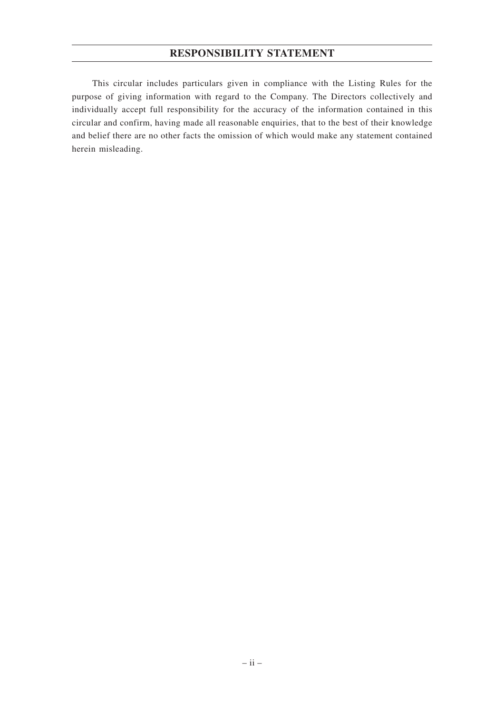## **RESPONSIBILITY STATEMENT**

This circular includes particulars given in compliance with the Listing Rules for the purpose of giving information with regard to the Company. The Directors collectively and individually accept full responsibility for the accuracy of the information contained in this circular and confirm, having made all reasonable enquiries, that to the best of their knowledge and belief there are no other facts the omission of which would make any statement contained herein misleading.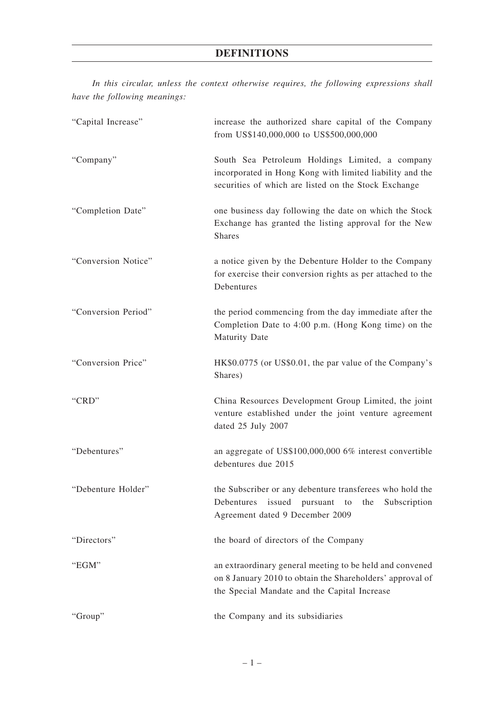*In this circular, unless the context otherwise requires, the following expressions shall have the following meanings:*

| "Capital Increase"  | increase the authorized share capital of the Company<br>from US\$140,000,000 to US\$500,000,000                                                                       |  |  |  |
|---------------------|-----------------------------------------------------------------------------------------------------------------------------------------------------------------------|--|--|--|
| "Company"           | South Sea Petroleum Holdings Limited, a company<br>incorporated in Hong Kong with limited liability and the<br>securities of which are listed on the Stock Exchange   |  |  |  |
| "Completion Date"   | one business day following the date on which the Stock<br>Exchange has granted the listing approval for the New<br><b>Shares</b>                                      |  |  |  |
| "Conversion Notice" | a notice given by the Debenture Holder to the Company<br>for exercise their conversion rights as per attached to the<br>Debentures                                    |  |  |  |
| "Conversion Period" | the period commencing from the day immediate after the<br>Completion Date to 4:00 p.m. (Hong Kong time) on the<br><b>Maturity Date</b>                                |  |  |  |
| "Conversion Price"  | HK\$0.0775 (or US\$0.01, the par value of the Company's<br>Shares)                                                                                                    |  |  |  |
| "CRD"               | China Resources Development Group Limited, the joint<br>venture established under the joint venture agreement<br>dated 25 July 2007                                   |  |  |  |
| "Debentures"        | an aggregate of US\$100,000,000 6% interest convertible<br>debentures due 2015                                                                                        |  |  |  |
| "Debenture Holder"  | the Subscriber or any debenture transferees who hold the<br>issued pursuant<br>Debentures<br>Subscription<br>the<br>to<br>Agreement dated 9 December 2009             |  |  |  |
| "Directors"         | the board of directors of the Company                                                                                                                                 |  |  |  |
| "EGM"               | an extraordinary general meeting to be held and convened<br>on 8 January 2010 to obtain the Shareholders' approval of<br>the Special Mandate and the Capital Increase |  |  |  |
| "Group"             | the Company and its subsidiaries                                                                                                                                      |  |  |  |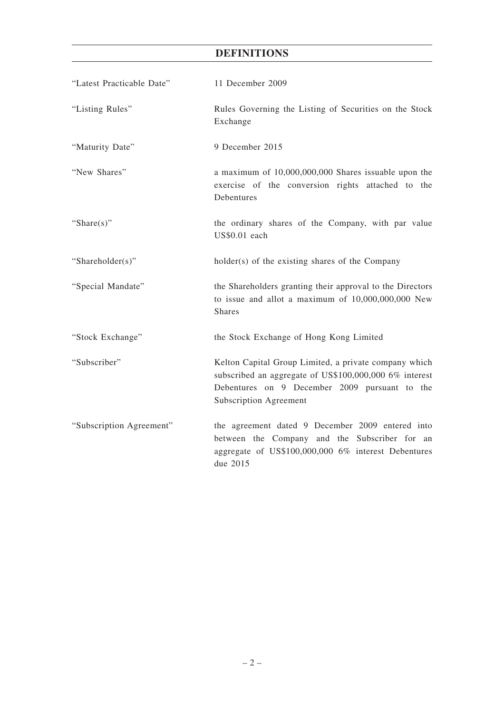# **DEFINITIONS**

| "Latest Practicable Date" | 11 December 2009                                                                                                                                                                           |  |  |  |
|---------------------------|--------------------------------------------------------------------------------------------------------------------------------------------------------------------------------------------|--|--|--|
| "Listing Rules"           | Rules Governing the Listing of Securities on the Stock<br>Exchange                                                                                                                         |  |  |  |
| "Maturity Date"           | 9 December 2015                                                                                                                                                                            |  |  |  |
| "New Shares"              | a maximum of 10,000,000,000 Shares issuable upon the<br>exercise of the conversion rights attached to the<br>Debentures                                                                    |  |  |  |
| "Share $(s)$ "            | the ordinary shares of the Company, with par value<br>US\$0.01 each                                                                                                                        |  |  |  |
| "Shareholder(s)"          | holder(s) of the existing shares of the Company                                                                                                                                            |  |  |  |
| "Special Mandate"         | the Shareholders granting their approval to the Directors<br>to issue and allot a maximum of 10,000,000,000 New<br><b>Shares</b>                                                           |  |  |  |
| "Stock Exchange"          | the Stock Exchange of Hong Kong Limited                                                                                                                                                    |  |  |  |
| "Subscriber"              | Kelton Capital Group Limited, a private company which<br>subscribed an aggregate of US\$100,000,000 6% interest<br>Debentures on 9 December 2009 pursuant to the<br>Subscription Agreement |  |  |  |
| "Subscription Agreement"  | the agreement dated 9 December 2009 entered into<br>between the Company and the Subscriber for an<br>aggregate of US\$100,000,000 6% interest Debentures<br>due 2015                       |  |  |  |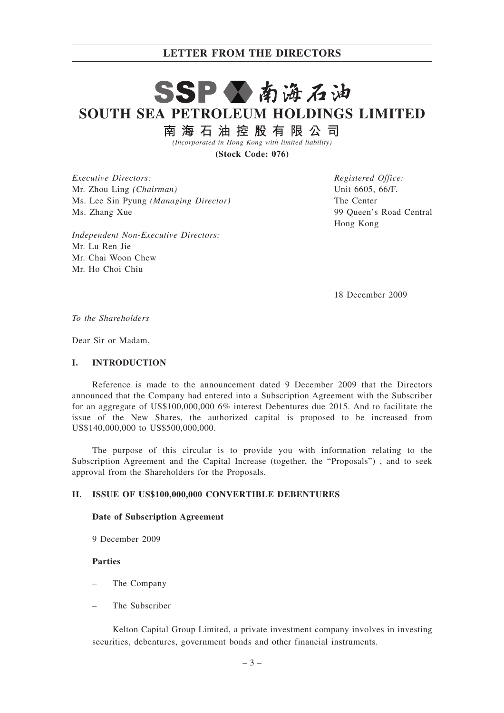# SSP公南海石油 **SOUTH SEA PETROLEUM HOLDINGS LIMITED**

南海石油控股有限公司

*(Incorporated in Hong Kong with limited liability)*

**(Stock Code: 076)**

*Executive Directors:* Mr. Zhou Ling *(Chairman)* Ms. Lee Sin Pyung *(Managing Director)* Ms. Zhang Xue

*Independent Non-Executive Directors:* Mr. Lu Ren Jie Mr. Chai Woon Chew Mr. Ho Choi Chiu

*Registered Office:* Unit 6605, 66/F. The Center 99 Queen's Road Central Hong Kong

18 December 2009

*To the Shareholders*

Dear Sir or Madam,

#### **I. INTRODUCTION**

Reference is made to the announcement dated 9 December 2009 that the Directors announced that the Company had entered into a Subscription Agreement with the Subscriber for an aggregate of US\$100,000,000 6% interest Debentures due 2015. And to facilitate the issue of the New Shares, the authorized capital is proposed to be increased from US\$140,000,000 to US\$500,000,000.

The purpose of this circular is to provide you with information relating to the Subscription Agreement and the Capital Increase (together, the "Proposals") , and to seek approval from the Shareholders for the Proposals.

#### **II. ISSUE OF US\$100,000,000 CONVERTIBLE DEBENTURES**

#### **Date of Subscription Agreement**

9 December 2009

## **Parties**

- The Company
- The Subscriber

Kelton Capital Group Limited, a private investment company involves in investing securities, debentures, government bonds and other financial instruments.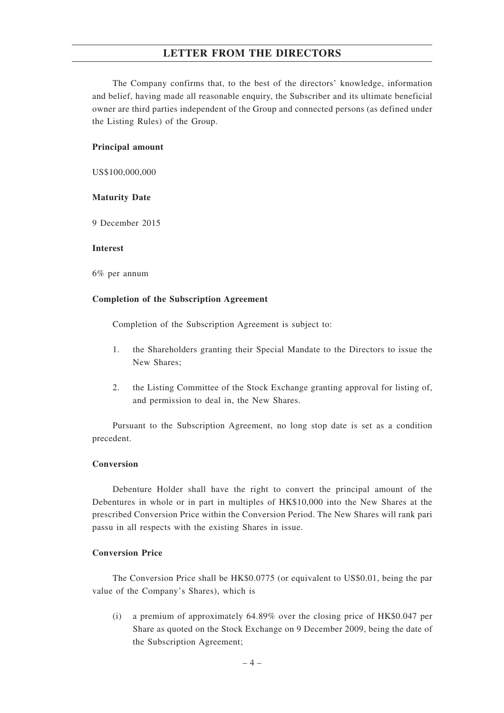The Company confirms that, to the best of the directors' knowledge, information and belief, having made all reasonable enquiry, the Subscriber and its ultimate beneficial owner are third parties independent of the Group and connected persons (as defined under the Listing Rules) of the Group.

#### **Principal amount**

US\$100,000,000

## **Maturity Date**

9 December 2015

#### **Interest**

6% per annum

#### **Completion of the Subscription Agreement**

Completion of the Subscription Agreement is subject to:

- 1. the Shareholders granting their Special Mandate to the Directors to issue the New Shares;
- 2. the Listing Committee of the Stock Exchange granting approval for listing of, and permission to deal in, the New Shares.

Pursuant to the Subscription Agreement, no long stop date is set as a condition precedent.

## **Conversion**

Debenture Holder shall have the right to convert the principal amount of the Debentures in whole or in part in multiples of HK\$10,000 into the New Shares at the prescribed Conversion Price within the Conversion Period. The New Shares will rank pari passu in all respects with the existing Shares in issue.

## **Conversion Price**

The Conversion Price shall be HK\$0.0775 (or equivalent to US\$0.01, being the par value of the Company's Shares), which is

(i) a premium of approximately 64.89% over the closing price of HK\$0.047 per Share as quoted on the Stock Exchange on 9 December 2009, being the date of the Subscription Agreement;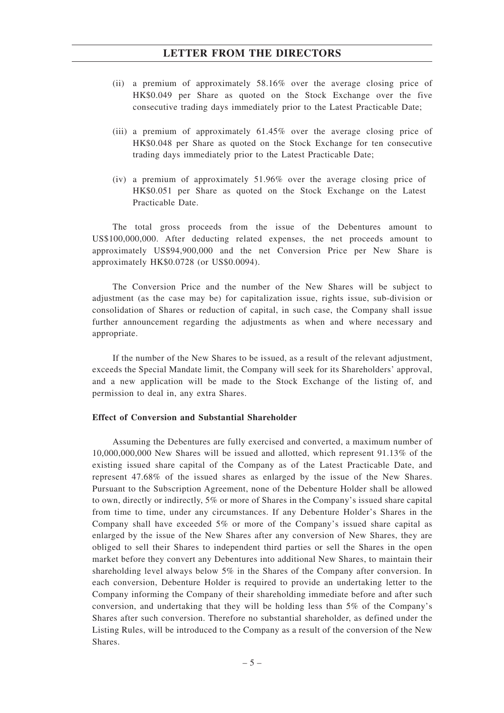- (ii) a premium of approximately 58.16% over the average closing price of HK\$0.049 per Share as quoted on the Stock Exchange over the five consecutive trading days immediately prior to the Latest Practicable Date;
- (iii) a premium of approximately 61.45% over the average closing price of HK\$0.048 per Share as quoted on the Stock Exchange for ten consecutive trading days immediately prior to the Latest Practicable Date;
- (iv) a premium of approximately 51.96% over the average closing price of HK\$0.051 per Share as quoted on the Stock Exchange on the Latest Practicable Date.

The total gross proceeds from the issue of the Debentures amount to US\$100,000,000. After deducting related expenses, the net proceeds amount to approximately US\$94,900,000 and the net Conversion Price per New Share is approximately HK\$0.0728 (or US\$0.0094).

The Conversion Price and the number of the New Shares will be subject to adjustment (as the case may be) for capitalization issue, rights issue, sub-division or consolidation of Shares or reduction of capital, in such case, the Company shall issue further announcement regarding the adjustments as when and where necessary and appropriate.

If the number of the New Shares to be issued, as a result of the relevant adjustment, exceeds the Special Mandate limit, the Company will seek for its Shareholders' approval, and a new application will be made to the Stock Exchange of the listing of, and permission to deal in, any extra Shares.

## **Effect of Conversion and Substantial Shareholder**

Assuming the Debentures are fully exercised and converted, a maximum number of 10,000,000,000 New Shares will be issued and allotted, which represent 91.13% of the existing issued share capital of the Company as of the Latest Practicable Date, and represent 47.68% of the issued shares as enlarged by the issue of the New Shares. Pursuant to the Subscription Agreement, none of the Debenture Holder shall be allowed to own, directly or indirectly, 5% or more of Shares in the Company's issued share capital from time to time, under any circumstances. If any Debenture Holder's Shares in the Company shall have exceeded 5% or more of the Company's issued share capital as enlarged by the issue of the New Shares after any conversion of New Shares, they are obliged to sell their Shares to independent third parties or sell the Shares in the open market before they convert any Debentures into additional New Shares, to maintain their shareholding level always below 5% in the Shares of the Company after conversion. In each conversion, Debenture Holder is required to provide an undertaking letter to the Company informing the Company of their shareholding immediate before and after such conversion, and undertaking that they will be holding less than 5% of the Company's Shares after such conversion. Therefore no substantial shareholder, as defined under the Listing Rules, will be introduced to the Company as a result of the conversion of the New Shares.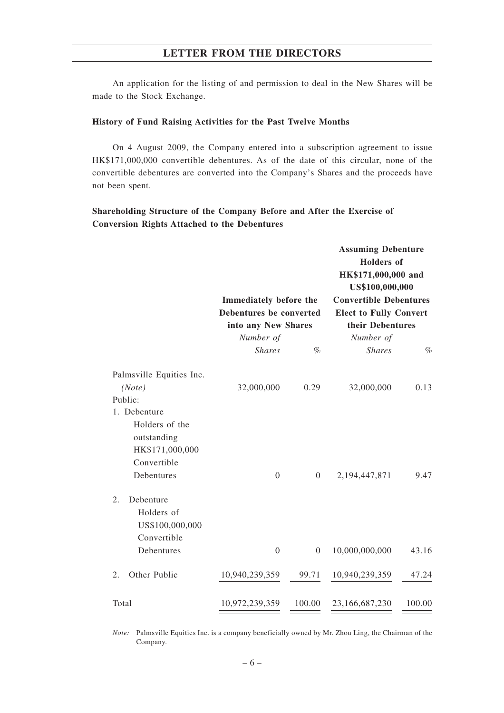An application for the listing of and permission to deal in the New Shares will be made to the Stock Exchange.

#### **History of Fund Raising Activities for the Past Twelve Months**

On 4 August 2009, the Company entered into a subscription agreement to issue HK\$171,000,000 convertible debentures. As of the date of this circular, none of the convertible debentures are converted into the Company's Shares and the proceeds have not been spent.

## **Shareholding Structure of the Company Before and After the Exercise of Conversion Rights Attached to the Debentures**

|                                                  | Immediately before the<br>Debentures be converted<br>into any New Shares |                  | <b>Assuming Debenture</b><br><b>Holders</b> of<br>HK\$171,000,000 and<br>US\$100,000,000<br><b>Convertible Debentures</b> |        |  |
|--------------------------------------------------|--------------------------------------------------------------------------|------------------|---------------------------------------------------------------------------------------------------------------------------|--------|--|
|                                                  |                                                                          |                  |                                                                                                                           |        |  |
|                                                  |                                                                          |                  | <b>Elect to Fully Convert</b><br>their Debentures                                                                         |        |  |
|                                                  |                                                                          |                  |                                                                                                                           |        |  |
|                                                  | Number of                                                                |                  | Number of                                                                                                                 |        |  |
|                                                  | <b>Shares</b>                                                            | $\%$             | <b>Shares</b>                                                                                                             | $\%$   |  |
| Palmsville Equities Inc.                         |                                                                          |                  |                                                                                                                           |        |  |
| (Note)                                           | 32,000,000                                                               | 0.29             | 32,000,000                                                                                                                | 0.13   |  |
| Public:                                          |                                                                          |                  |                                                                                                                           |        |  |
| 1. Debenture                                     |                                                                          |                  |                                                                                                                           |        |  |
| Holders of the                                   |                                                                          |                  |                                                                                                                           |        |  |
| outstanding                                      |                                                                          |                  |                                                                                                                           |        |  |
| HK\$171,000,000                                  |                                                                          |                  |                                                                                                                           |        |  |
| Convertible                                      |                                                                          |                  |                                                                                                                           |        |  |
| Debentures                                       | $\boldsymbol{0}$                                                         | $\overline{0}$   | 2,194,447,871                                                                                                             | 9.47   |  |
| 2.<br>Debenture<br>Holders of<br>US\$100,000,000 |                                                                          |                  |                                                                                                                           |        |  |
| Convertible                                      |                                                                          |                  |                                                                                                                           |        |  |
| Debentures                                       | $\boldsymbol{0}$                                                         | $\boldsymbol{0}$ | 10,000,000,000                                                                                                            | 43.16  |  |
| Other Public<br>2.                               | 10,940,239,359                                                           | 99.71            | 10,940,239,359                                                                                                            | 47.24  |  |
| Total                                            | 10,972,239,359                                                           | 100.00           | 23,166,687,230                                                                                                            | 100.00 |  |

*Note:* Palmsville Equities Inc. is a company beneficially owned by Mr. Zhou Ling, the Chairman of the Company.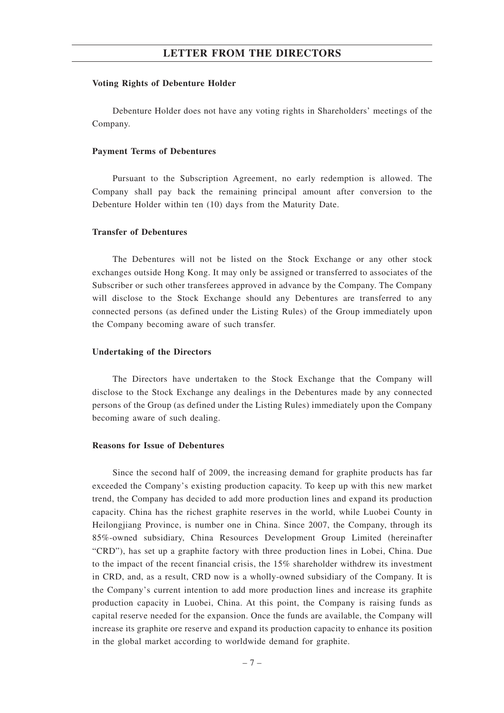#### **Voting Rights of Debenture Holder**

Debenture Holder does not have any voting rights in Shareholders' meetings of the Company.

#### **Payment Terms of Debentures**

Pursuant to the Subscription Agreement, no early redemption is allowed. The Company shall pay back the remaining principal amount after conversion to the Debenture Holder within ten (10) days from the Maturity Date.

## **Transfer of Debentures**

The Debentures will not be listed on the Stock Exchange or any other stock exchanges outside Hong Kong. It may only be assigned or transferred to associates of the Subscriber or such other transferees approved in advance by the Company. The Company will disclose to the Stock Exchange should any Debentures are transferred to any connected persons (as defined under the Listing Rules) of the Group immediately upon the Company becoming aware of such transfer.

#### **Undertaking of the Directors**

The Directors have undertaken to the Stock Exchange that the Company will disclose to the Stock Exchange any dealings in the Debentures made by any connected persons of the Group (as defined under the Listing Rules) immediately upon the Company becoming aware of such dealing.

#### **Reasons for Issue of Debentures**

Since the second half of 2009, the increasing demand for graphite products has far exceeded the Company's existing production capacity. To keep up with this new market trend, the Company has decided to add more production lines and expand its production capacity. China has the richest graphite reserves in the world, while Luobei County in Heilongjiang Province, is number one in China. Since 2007, the Company, through its 85%-owned subsidiary, China Resources Development Group Limited (hereinafter "CRD"), has set up a graphite factory with three production lines in Lobei, China. Due to the impact of the recent financial crisis, the 15% shareholder withdrew its investment in CRD, and, as a result, CRD now is a wholly-owned subsidiary of the Company. It is the Company's current intention to add more production lines and increase its graphite production capacity in Luobei, China. At this point, the Company is raising funds as capital reserve needed for the expansion. Once the funds are available, the Company will increase its graphite ore reserve and expand its production capacity to enhance its position in the global market according to worldwide demand for graphite.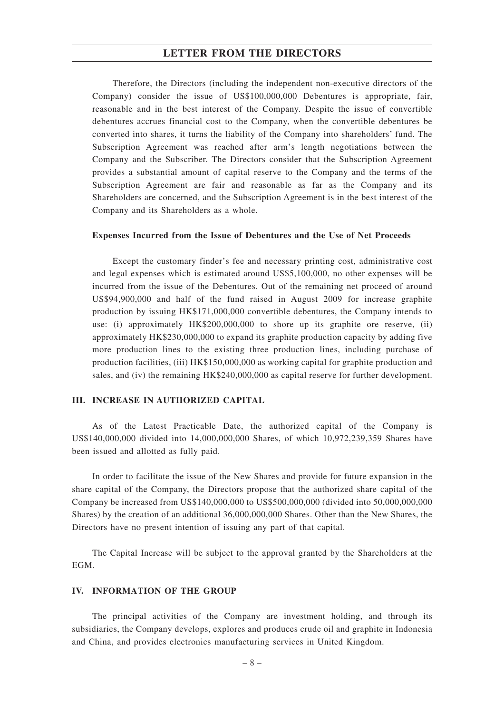Therefore, the Directors (including the independent non-executive directors of the Company) consider the issue of US\$100,000,000 Debentures is appropriate, fair, reasonable and in the best interest of the Company. Despite the issue of convertible debentures accrues financial cost to the Company, when the convertible debentures be converted into shares, it turns the liability of the Company into shareholders' fund. The Subscription Agreement was reached after arm's length negotiations between the Company and the Subscriber. The Directors consider that the Subscription Agreement provides a substantial amount of capital reserve to the Company and the terms of the Subscription Agreement are fair and reasonable as far as the Company and its Shareholders are concerned, and the Subscription Agreement is in the best interest of the Company and its Shareholders as a whole.

#### **Expenses Incurred from the Issue of Debentures and the Use of Net Proceeds**

Except the customary finder's fee and necessary printing cost, administrative cost and legal expenses which is estimated around US\$5,100,000, no other expenses will be incurred from the issue of the Debentures. Out of the remaining net proceed of around US\$94,900,000 and half of the fund raised in August 2009 for increase graphite production by issuing HK\$171,000,000 convertible debentures, the Company intends to use: (i) approximately HK\$200,000,000 to shore up its graphite ore reserve, (ii) approximately HK\$230,000,000 to expand its graphite production capacity by adding five more production lines to the existing three production lines, including purchase of production facilities, (iii) HK\$150,000,000 as working capital for graphite production and sales, and (iv) the remaining HK\$240,000,000 as capital reserve for further development.

#### **III. INCREASE IN AUTHORIZED CAPITAL**

As of the Latest Practicable Date, the authorized capital of the Company is US\$140,000,000 divided into 14,000,000,000 Shares, of which 10,972,239,359 Shares have been issued and allotted as fully paid.

In order to facilitate the issue of the New Shares and provide for future expansion in the share capital of the Company, the Directors propose that the authorized share capital of the Company be increased from US\$140,000,000 to US\$500,000,000 (divided into 50,000,000,000 Shares) by the creation of an additional 36,000,000,000 Shares. Other than the New Shares, the Directors have no present intention of issuing any part of that capital.

The Capital Increase will be subject to the approval granted by the Shareholders at the EGM.

#### **IV. INFORMATION OF THE GROUP**

The principal activities of the Company are investment holding, and through its subsidiaries, the Company develops, explores and produces crude oil and graphite in Indonesia and China, and provides electronics manufacturing services in United Kingdom.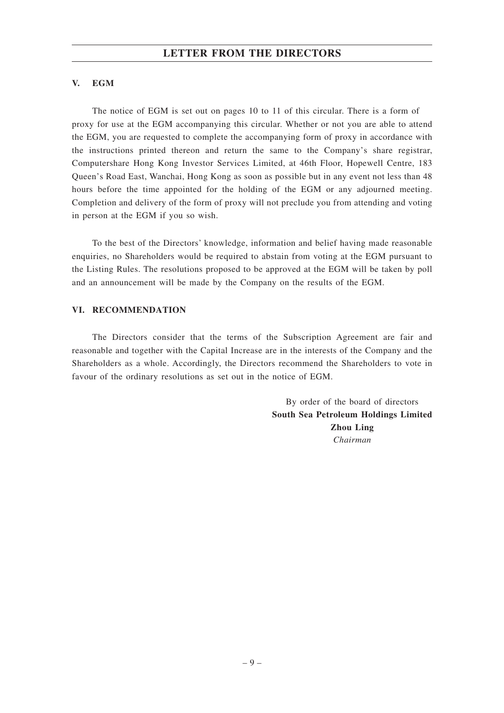## **V. EGM**

The notice of EGM is set out on pages 10 to 11 of this circular. There is a form of proxy for use at the EGM accompanying this circular. Whether or not you are able to attend the EGM, you are requested to complete the accompanying form of proxy in accordance with the instructions printed thereon and return the same to the Company's share registrar, Computershare Hong Kong Investor Services Limited, at 46th Floor, Hopewell Centre, 183 Queen's Road East, Wanchai, Hong Kong as soon as possible but in any event not less than 48 hours before the time appointed for the holding of the EGM or any adjourned meeting. Completion and delivery of the form of proxy will not preclude you from attending and voting in person at the EGM if you so wish.

To the best of the Directors' knowledge, information and belief having made reasonable enquiries, no Shareholders would be required to abstain from voting at the EGM pursuant to the Listing Rules. The resolutions proposed to be approved at the EGM will be taken by poll and an announcement will be made by the Company on the results of the EGM.

## **VI. RECOMMENDATION**

The Directors consider that the terms of the Subscription Agreement are fair and reasonable and together with the Capital Increase are in the interests of the Company and the Shareholders as a whole. Accordingly, the Directors recommend the Shareholders to vote in favour of the ordinary resolutions as set out in the notice of EGM.

> By order of the board of directors **South Sea Petroleum Holdings Limited Zhou Ling** *Chairman*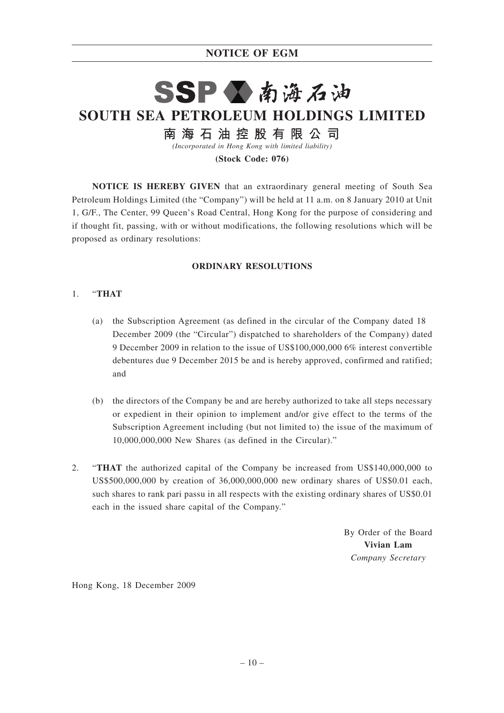# **NOTICE OF EGM**

# SSP公南海石油 **SOUTH SEA PETROLEUM HOLDINGS LIMITED** 南 海 石 油 控 股 有 限 公 司

*(Incorporated in Hong Kong with limited liability)*

**(Stock Code: 076)**

**NOTICE IS HEREBY GIVEN** that an extraordinary general meeting of South Sea Petroleum Holdings Limited (the "Company") will be held at 11 a.m. on 8 January 2010 at Unit 1, G/F., The Center, 99 Queen's Road Central, Hong Kong for the purpose of considering and if thought fit, passing, with or without modifications, the following resolutions which will be proposed as ordinary resolutions:

## **ORDINARY RESOLUTIONS**

## 1. "**THAT**

- (a) the Subscription Agreement (as defined in the circular of the Company dated 18 December 2009 (the "Circular") dispatched to shareholders of the Company) dated 9 December 2009 in relation to the issue of US\$100,000,000 6% interest convertible debentures due 9 December 2015 be and is hereby approved, confirmed and ratified; and
- (b) the directors of the Company be and are hereby authorized to take all steps necessary or expedient in their opinion to implement and/or give effect to the terms of the Subscription Agreement including (but not limited to) the issue of the maximum of 10,000,000,000 New Shares (as defined in the Circular)."
- 2. "**THAT** the authorized capital of the Company be increased from US\$140,000,000 to US\$500,000,000 by creation of 36,000,000,000 new ordinary shares of US\$0.01 each, such shares to rank pari passu in all respects with the existing ordinary shares of US\$0.01 each in the issued share capital of the Company."

By Order of the Board **Vivian Lam** *Company Secretary*

Hong Kong, 18 December 2009